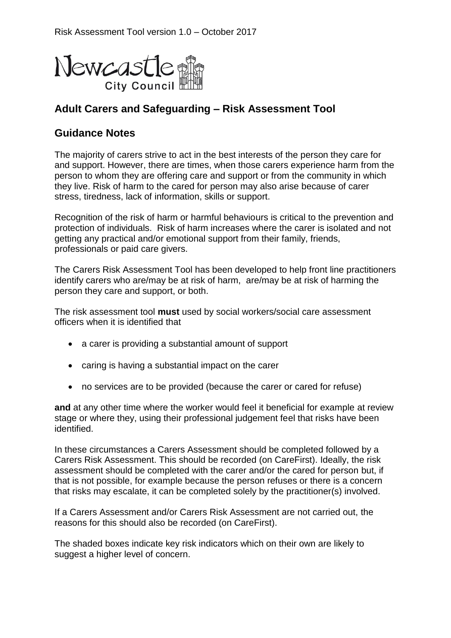

# **Adult Carers and Safeguarding – Risk Assessment Tool**

### **Guidance Notes**

The majority of carers strive to act in the best interests of the person they care for and support. However, there are times, when those carers experience harm from the person to whom they are offering care and support or from the community in which they live. Risk of harm to the cared for person may also arise because of carer stress, tiredness, lack of information, skills or support.

Recognition of the risk of harm or harmful behaviours is critical to the prevention and protection of individuals. Risk of harm increases where the carer is isolated and not getting any practical and/or emotional support from their family, friends, professionals or paid care givers.

The Carers Risk Assessment Tool has been developed to help front line practitioners identify carers who are/may be at risk of harm, are/may be at risk of harming the person they care and support, or both.

The risk assessment tool **must** used by social workers/social care assessment officers when it is identified that

- a carer is providing a substantial amount of support
- caring is having a substantial impact on the carer
- no services are to be provided (because the carer or cared for refuse)

**and** at any other time where the worker would feel it beneficial for example at review stage or where they, using their professional judgement feel that risks have been identified.

In these circumstances a Carers Assessment should be completed followed by a Carers Risk Assessment. This should be recorded (on CareFirst). Ideally, the risk assessment should be completed with the carer and/or the cared for person but, if that is not possible, for example because the person refuses or there is a concern that risks may escalate, it can be completed solely by the practitioner(s) involved.

If a Carers Assessment and/or Carers Risk Assessment are not carried out, the reasons for this should also be recorded (on CareFirst).

The shaded boxes indicate key risk indicators which on their own are likely to suggest a higher level of concern.